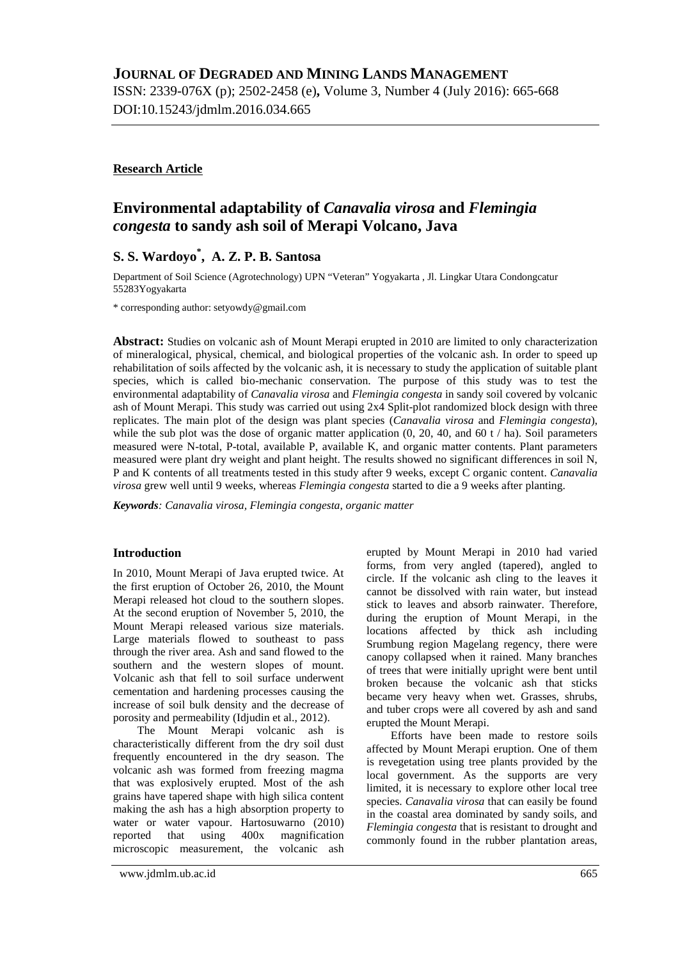ISSN: 2339-076X (p); 2502-2458 (e)**,** Volume 3, Number 4 (July 2016): 665-668 DOI:10.15243/jdmlm.2016.034.665

### **Research Article**

# **Environmental adaptability of** *Canavalia virosa* **and** *Flemingia congesta* **to sandy ash soil of Merapi Volcano, Java**

## **S. S. Wardoyo\* , A. Z. P. B. Santosa**

Department of Soil Science (Agrotechnology) UPN "Veteran" Yogyakarta , Jl. Lingkar Utara Condongcatur 55283Yogyakarta

\* corresponding author: [setyowdy@gmail.com](mailto:setyowdy@gmail.com)

**Abstract:** Studies on volcanic ash of Mount Merapi erupted in 2010 are limited to only characterization of mineralogical, physical, chemical, and biological properties of the volcanic ash. In order to speed up rehabilitation of soils affected by the volcanic ash, it is necessary to study the application of suitable plant species, which is called bio-mechanic conservation. The purpose of this study was to test the environmental adaptability of *Canavalia virosa* and *Flemingia congesta* in sandy soil covered by volcanic ash of Mount Merapi. This study was carried out using 2x4 Split-plot randomized block design with three replicates. The main plot of the design was plant species (*Canavalia virosa* and *Flemingia congesta*), while the sub plot was the dose of organic matter application  $(0, 20, 40,$  and  $60 \frac{t}{\text{ha}})$ . Soil parameters measured were N-total, P-total, available P, available K, and organic matter contents. Plant parameters measured were plant dry weight and plant height. The results showed no significant differences in soil N, P and K contents of all treatments tested in this study after 9 weeks, except C organic content. *Canavalia virosa* grew well until 9 weeks, whereas *Flemingia congesta* started to die a 9 weeks after planting.

*Keywords: Canavalia virosa, Flemingia congesta, organic matter*

### **Introduction**

In 2010, Mount Merapi of Java erupted twice. At the first eruption of October 26, 2010, the Mount Merapi released hot cloud to the southern slopes. At the second eruption of November 5, 2010, the Mount Merapi released various size materials. Large materials flowed to southeast to pass through the river area. Ash and sand flowed to the southern and the western slopes of mount. Volcanic ash that fell to soil surface underwent cementation and hardening processes causing the increase of soil bulk density and the decrease of porosity and permeability (Idjudin et al., 2012).

The Mount Merapi volcanic ash is characteristically different from the dry soil dust frequently encountered in the dry season. The volcanic ash was formed from freezing magma that was explosively erupted. Most of the ash grains have tapered shape with high silica content making the ash has a high absorption property to water or water vapour. Hartosuwarno (2010) reported that using 400x magnification microscopic measurement, the volcanic ash

erupted by Mount Merapi in 2010 had varied forms, from very angled (tapered), angled to circle. If the volcanic ash cling to the leaves it cannot be dissolved with rain water, but instead stick to leaves and absorb rainwater. Therefore, during the eruption of Mount Merapi, in the locations affected by thick ash including Srumbung region Magelang regency, there were canopy collapsed when it rained. Many branches of trees that were initially upright were bent until broken because the volcanic ash that sticks became very heavy when wet. Grasses, shrubs, and tuber crops were all covered by ash and sand erupted the Mount Merapi.

Efforts have been made to restore soils affected by Mount Merapi eruption. One of them is revegetation using tree plants provided by the local government. As the supports are very limited, it is necessary to explore other local tree species. *Canavalia virosa* that can easily be found in the coastal area dominated by sandy soils, and *Flemingia congesta* that is resistant to drought and commonly found in the rubber plantation areas,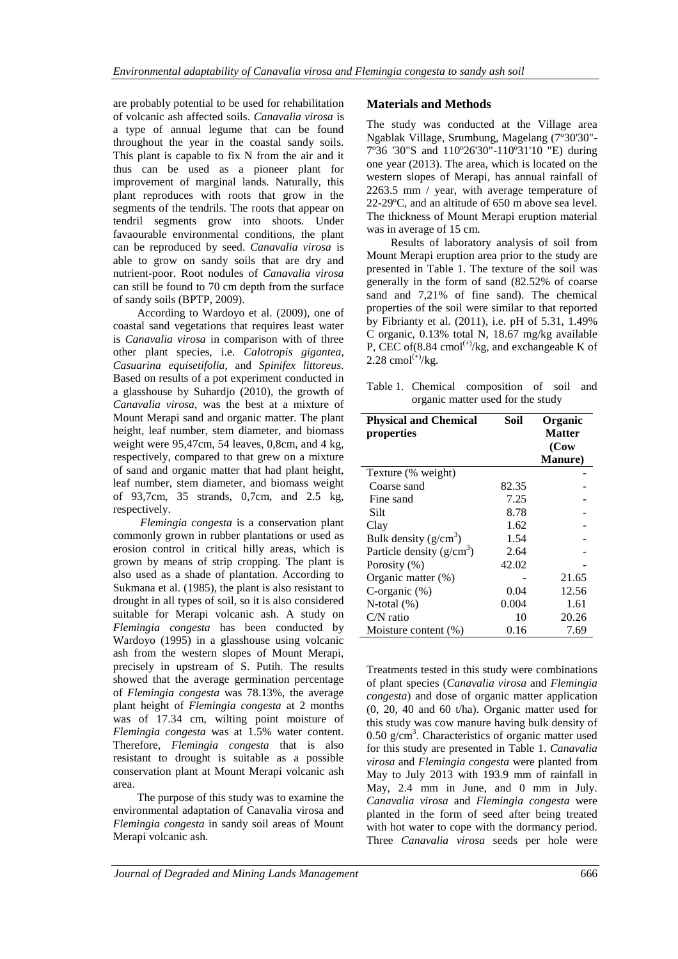are probably potential to be used for rehabilitation of volcanic ash affected soils. *Canavalia virosa* is a type of annual legume that can be found throughout the year in the coastal sandy soils. This plant is capable to fix N from the air and it thus can be used as a pioneer plant for improvement of marginal lands. Naturally, this plant reproduces with roots that grow in the segments of the tendrils. The roots that appear on tendril segments grow into shoots. Under favaourable environmental conditions, the plant can be reproduced by seed. *Canavalia virosa* is able to grow on sandy soils that are dry and nutrient-poor. Root nodules of *Canavalia virosa* can still be found to 70 cm depth from the surface of sandy soils (BPTP, 2009).

According to Wardoyo et al. (2009), one of coastal sand vegetations that requires least water is *Canavalia virosa* in comparison with of three other plant species, i.e. *Calotropis gigantea, Casuarina equisetifolia*, and *Spinifex littoreus*. Based on results of a pot experiment conducted in a glasshouse by Suhardjo (2010), the growth of *Canavalia virosa*, was the best at a mixture of Mount Merapi sand and organic matter. The plant height, leaf number, stem diameter, and biomass weight were 95,47cm, 54 leaves, 0,8cm, and 4 kg, respectively, compared to that grew on a mixture of sand and organic matter that had plant height, leaf number, stem diameter, and biomass weight of 93,7cm, 35 strands, 0,7cm, and 2.5 kg, respectively.

*Flemingia congesta* is a conservation plant commonly grown in rubber plantations or used as erosion control in critical hilly areas, which is grown by means of strip cropping. The plant is also used as a shade of plantation. According to Sukmana et al. (1985), the plant is also resistant to drought in all types of soil, so it is also considered suitable for Merapi volcanic ash. A study on *Flemingia congesta* has been conducted by Wardoyo (1995) in a glasshouse using volcanic ash from the western slopes of Mount Merapi, precisely in upstream of S. Putih. The results showed that the average germination percentage of *Flemingia congesta* was 78.13%, the average plant height of *Flemingia congesta* at 2 months was of 17.34 cm, wilting point moisture of *Flemingia congesta* was at 1.5% water content. Therefore, *Flemingia congesta* that is also resistant to drought is suitable as a possible conservation plant at Mount Merapi volcanic ash area.

The purpose of this study was to examine the environmental adaptation of Canavalia virosa and *Flemingia congesta* in sandy soil areas of Mount Merapi volcanic ash.

## **Materials and Methods**

The study was conducted at the Village area Ngablak Village, Srumbung, Magelang (7º30'30"- 7º36 '30"S and 110º26'30"-110º31'10 "E) during one year (2013). The area, which is located on the western slopes of Merapi, has annual rainfall of 2263.5 mm / year, with average temperature of 22-29ºC, and an altitude of 650 m above sea level. The thickness of Mount Merapi eruption material was in average of 15 cm.

Results of laboratory analysis of soil from Mount Merapi eruption area prior to the study are presented in Table 1. The texture of the soil was generally in the form of sand (82.52% of coarse sand and 7,21% of fine sand). The chemical properties of the soil were similar to that reported by Fibrianty et al. (2011), i.e. pH of 5.31, 1.49% C organic, 0.13% total N, 18.67 mg/kg available P, CEC of(8.84 cmol<sup>(+)</sup>/kg, and exchangeable K of 2.28 cmol $^{(+)}$ /kg.

|  | Table 1. Chemical composition of soil and |  |  |
|--|-------------------------------------------|--|--|
|  | organic matter used for the study         |  |  |

| <b>Physical and Chemical</b><br>properties | Soil  | Organic<br><b>Matter</b><br>(Cow)<br><b>Manure</b> ) |
|--------------------------------------------|-------|------------------------------------------------------|
| Texture (% weight)                         |       |                                                      |
| Coarse sand                                | 82.35 |                                                      |
| Fine sand                                  | 7.25  |                                                      |
| Silt                                       | 8.78  |                                                      |
| Clay                                       | 1.62  |                                                      |
| Bulk density $(g/cm^3)$                    | 1.54  |                                                      |
| Particle density $(g/cm^3)$                | 2.64  |                                                      |
| Porosity (%)                               | 42.02 |                                                      |
| Organic matter (%)                         |       | 21.65                                                |
| C-organic $(\%)$                           | 0.04  | 12.56                                                |
| N-total $(\%)$                             | 0.004 | 1.61                                                 |
| $C/N$ ratio                                | 10    | 20.26                                                |
| Moisture content (%)                       | 0.16  | 7.69                                                 |

Treatments tested in this study were combinations of plant species (*Canavalia virosa* and *Flemingia congesta*) and dose of organic matter application (0, 20, 40 and 60 t/ha). Organic matter used for this study was cow manure having bulk density of  $0.50$  g/cm<sup>3</sup>. Characteristics of organic matter used for this study are presented in Table 1. *Canavalia virosa* and *Flemingia congesta* were planted from May to July 2013 with 193.9 mm of rainfall in May, 2.4 mm in June, and 0 mm in July. *Canavalia virosa* and *Flemingia congesta* were planted in the form of seed after being treated with hot water to cope with the dormancy period. Three *Canavalia virosa* seeds per hole were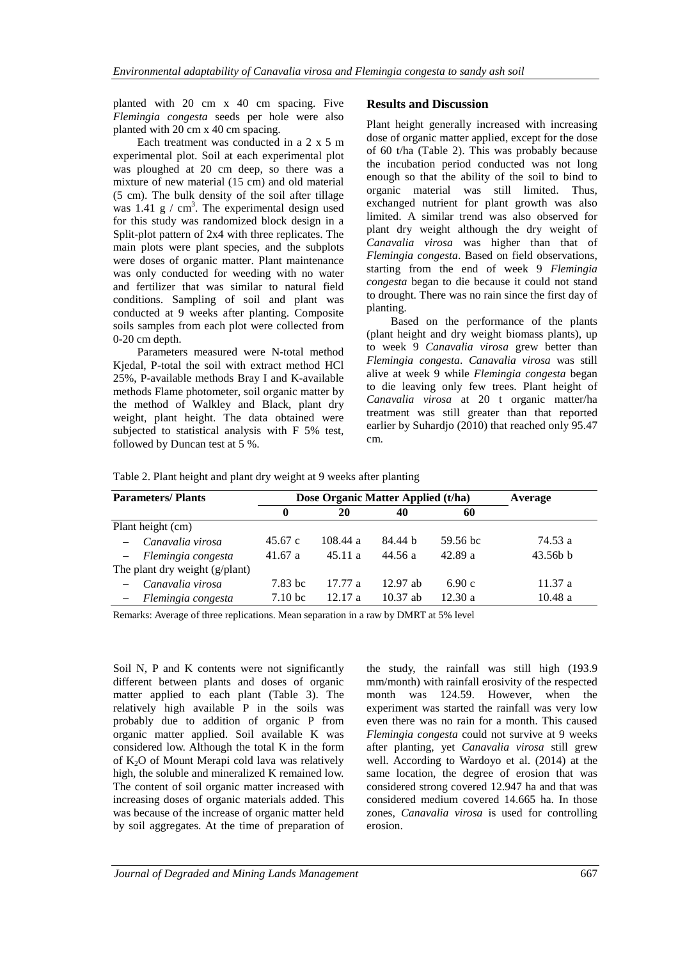planted with 20 cm x 40 cm spacing. Five *Flemingia congesta* seeds per hole were also planted with 20 cm x 40 cm spacing.

Each treatment was conducted in a 2 x 5 m experimental plot. Soil at each experimental plot was ploughed at 20 cm deep, so there was a mixture of new material (15 cm) and old material (5 cm). The bulk density of the soil after tillage was  $1.41 \text{ g}$  / cm<sup>3</sup>. The experimental design used for this study was randomized block design in a Split-plot pattern of 2x4 with three replicates. The main plots were plant species, and the subplots were doses of organic matter. Plant maintenance was only conducted for weeding with no water and fertilizer that was similar to natural field conditions. Sampling of soil and plant was conducted at 9 weeks after planting. Composite soils samples from each plot were collected from 0-20 cm depth.

Parameters measured were N-total method Kjedal, P-total the soil with extract method HCl 25%, P-available methods Bray I and K-available methods Flame photometer, soil organic matter by the method of Walkley and Black, plant dry weight, plant height. The data obtained were subjected to statistical analysis with F 5% test, followed by Duncan test at 5 %.

#### **Results and Discussion**

Plant height generally increased with increasing dose of organic matter applied, except for the dose of 60 t/ha (Table 2). This was probably because the incubation period conducted was not long enough so that the ability of the soil to bind to organic material was still limited. Thus, exchanged nutrient for plant growth was also limited. A similar trend was also observed for plant dry weight although the dry weight of *Canavalia virosa* was higher than that of *Flemingia congesta*. Based on field observations, starting from the end of week 9 *Flemingia congesta* began to die because it could not stand to drought. There was no rain since the first day of planting.

Based on the performance of the plants (plant height and dry weight biomass plants), up to week 9 *Canavalia virosa* grew better than *Flemingia congesta*. *Canavalia virosa* was still alive at week 9 while *Flemingia congesta* began to die leaving only few trees. Plant height of *Canavalia virosa* at 20 t organic matter/ha treatment was still greater than that reported earlier by Suhardjo (2010) that reached only 95.47 cm.

Table 2. Plant height and plant dry weight at 9 weeks after planting

| <b>Parameters/Plants</b> |                                | Dose Organic Matter Applied (t/ha) |          |            |          | Average    |
|--------------------------|--------------------------------|------------------------------------|----------|------------|----------|------------|
|                          |                                | 0                                  | 20       | 40         | 60       |            |
| Plant height (cm)        |                                |                                    |          |            |          |            |
|                          | Canavalia virosa               | 45.67c                             | 108.44 a | 84.44 h    | 59.56 bc | 74.53 a    |
|                          | - Flemingia congesta           | 41.67a                             | 45.11a   | 44.56 a    | 42.89a   | $43.56b$ b |
|                          | The plant dry weight (g/plant) |                                    |          |            |          |            |
|                          | Canavalia virosa               | 7.83 bc                            | 17.77a   | $12.97$ ab | 6.90c    | 11.37 a    |
|                          | Flemingia congesta             | 7.10 <sub>bc</sub>                 | 12.17a   | $10.37$ ab | 12.30a   | 10.48a     |

Remarks: Average of three replications. Mean separation in a raw by DMRT at 5% level

Soil N, P and K contents were not significantly different between plants and doses of organic matter applied to each plant (Table 3). The relatively high available P in the soils was probably due to addition of organic P from organic matter applied. Soil available K was considered low. Although the total K in the form of K2O of Mount Merapi cold lava was relatively high, the soluble and mineralized K remained low. The content of soil organic matter increased with increasing doses of organic materials added. This was because of the increase of organic matter held by soil aggregates. At the time of preparation of

the study, the rainfall was still high (193.9 mm/month) with rainfall erosivity of the respected month was 124.59. However, when the experiment was started the rainfall was very low even there was no rain for a month. This caused *Flemingia congesta* could not survive at 9 weeks after planting, yet *Canavalia virosa* still grew well. According to Wardoyo et al. (2014) at the same location, the degree of erosion that was considered strong covered 12.947 ha and that was considered medium covered 14.665 ha. In those zones, *Canavalia virosa* is used for controlling erosion.